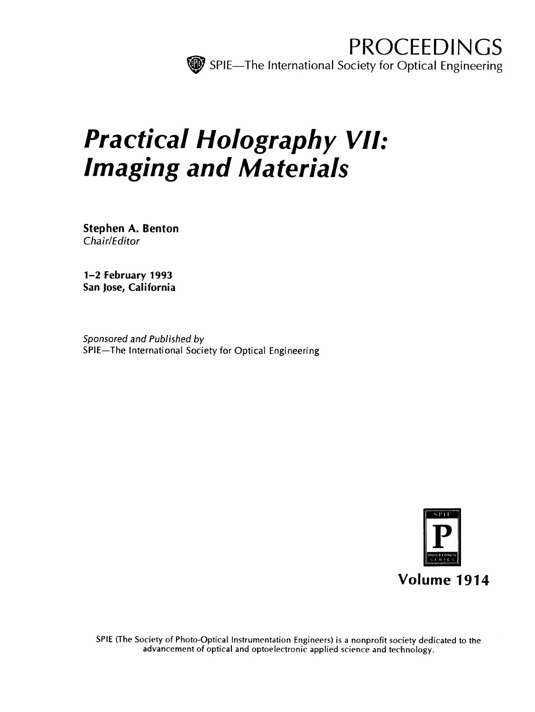

# Practical Holography VII: Imaging and Materials

Stephen A. Benton Chair/Editor

1-2 February 1993 San Jose, California

Sponsored and Published by SPIE—The International Society for Optical Engineering



SPIE (The Society of Photo-Optical Instrumentation Engineers) is <sup>a</sup> nonprofit society dedicated to the advancement of optical and optoelectronic applied science and technology.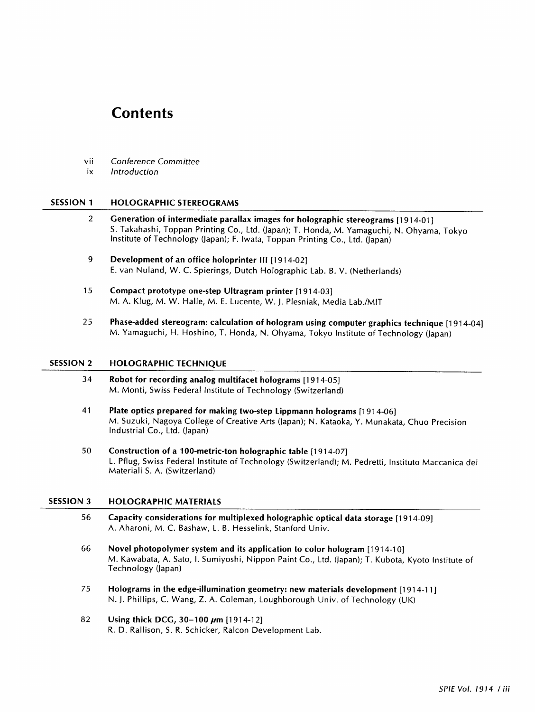## **Contents**

- vii Conference Committee
- ix Introduction

#### SESSION <sup>1</sup> HOLOGRAPHIC STEREOGRAMS

- <sup>2</sup> Generation of intermediate parallax images for holographic stereograms [1914-01] S. Takahashi, Toppan Printing Co., Ltd. (Japan); T. Honda, M. Yamaguchi, N. Ohyama, Tokyo Institute of Technology (Japan); F. Iwata, Toppan Printing Co., Ltd. (Japan)
- 9 Development of an office holoprinter III [1914-02] E. van Nuland, W. C. Spierings, Dutch Holographic Lab. B. V. (Netherlands)
- 15 Compact prototype one-step Ultragram printer [1914-03] M. A. Klug, M. W. Halle, M. E. Lucente, W. J. Plesniak, Media Lab./MIT
- 25 Phase-added stereogram: calculation of hologram using computer graphics technique [1914-04] M. Yamaguchi, H. Hoshino, T. Honda, N. Ohyama, Tokyo Institute of Technology (Japan)

#### SESSION <sup>2</sup> HOLOGRAPHIC TECHNIQUE

- 34 Robot for recording analog multifacet holograms [1914-05] M. Monti, Swiss Federal Institute of Technology (Switzerland)
- <sup>41</sup> Plate optics prepared for making two-step Lippmann holograms [1914-06] M. Suzuki, Nagoya College of Creative Arts (Japan); N. Kataoka, Y. Munakata, Chuo Precision Industrial Co., Ltd. (Japan)
- 50 Construction of a 100-metric-ton holographic table [1914-07] L. Pflug, Swiss Federal Institute of Technology (Switzerland); M. Pedretti, Instituto Maccanica dei Materiali S. A. (Switzerland)

### SESSION <sup>3</sup> HOLOGRAPHIC MATERIALS

- 56 Capacity considerations for multiplexed holographic optical data storage [1914-09] A. Aharoni, M. C. Bashaw, L. B. Hesselink, Stanford Univ.
- 66 Novel photopolymer system and its application to color hologram [1914-10] M. Kawabata, A. Sato, I. Sumiyoshi, Nippon Paint Co., Ltd. (Japan); T. Kubota, Kyoto Institute of Technology (Japan)
- <sup>75</sup> Holograms in the edge-illumination geometry: new materials development [1914-11] N. J. Phillips, C. Wang, Z. A. Coleman, Loughborough Univ. of Technology (UK)
- 82 Using thick DCG,  $30-100 \ \mu m$  [1914-12] R. D. Rallison, S. R. Schicker, Ralcon Development Lab.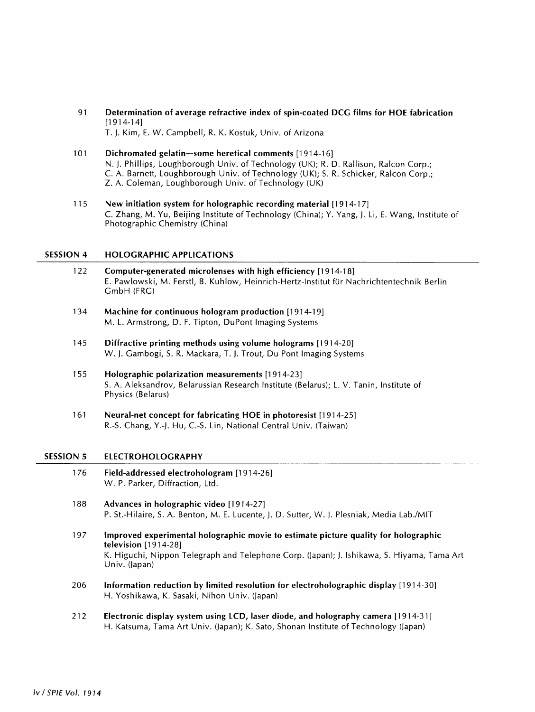<sup>91</sup> Determination of average refractive index of spin-coated DCG films for HOE fabrication [1914-14]

T. J. Kim, E. W. Campbell, R. K. Kostuk, Univ. of Arizona

- 101 Dichromated gelatin—some heretical comments [1914-16] N. J. Phillips, Loughborough Univ. of Technology (UK); R. D. Rallison, Ralcon Corp.; C. A. Barnett, Loughborough Univ. of Technology (UK); S. R. Schicker, Ralcon Corp.; Z. A. Coleman, Loughborough Univ. of Technology (UK)
- 115 New initiation system for holographic recording material [1914-17] C. Zhang, M. Yu, Beijing Institute of Technology (China); Y. Yang, J. Li, E. Wang, Institute of Photographic Chemistry (China)

#### SESSION <sup>4</sup> HOLOGRAPHIC APPLICATIONS

- 122 Computer-generated microlenses with high efficiency [1914-18] E. Pawlowski, M. Ferstl, B. Kuhlow, Heinrich-Hertz-lnstitut fur Nachrichtentechnik Berlin GmbH (FRG)
- 134 Machine for continuous hologram production [1914-19] M. L. Armstrong, D. F. Tipton, DuPont Imaging Systems
- 145 Diffractive printing methods using volume holograms [1914-20] W. J. Gambogi, S. R. Mackara, T. J. Trout, Du Pont Imaging Systems
- 155 Holographic polarization measurements [1914-23] S. A. Aleksandrov, Belarussian Research Institute (Belarus); L. V. Tanin, Institute of Physics (Belarus)
- <sup>161</sup> Neural-net concept for fabricating HOE in photoresist [1914-25] R.-S. Chang, Y.-J. Hu, C.-S. Lin, National Central Univ. (Taiwan)

#### SESSION <sup>5</sup> ELECTROHOLOGRAPHY

- 176 Field-addressed electrohologram [1914-26] W. P. Parker, Diffraction, Ltd.
- 188 Advances in holographic video [1914-27] P. St.-Hilaire, S. A. Benton, M. E. Lucente, J. D. Sutter, W. J. Plesniak, Media Lab./MIT
- 197 Improved experimental holographic movie to estimate picture quality for holographic television [1914-28] K. Higuchi, Nippon Telegraph and Telephone Corp. (Japan); J. Ishikawa, S. Hiyama, Tama Art Univ. (Japan)
- 206 Information reduction by limited resolution for electroholographic display [1914-30] H. Yoshikawa, K. Sasaki, Nihon Univ. (Japan)
- 212 Electronic display system using LCD, laser diode, and holography camera [1914-31] H. Katsuma, Tama Art Univ. (Japan); K. Sato, Shonan Institute of Technology (Japan)